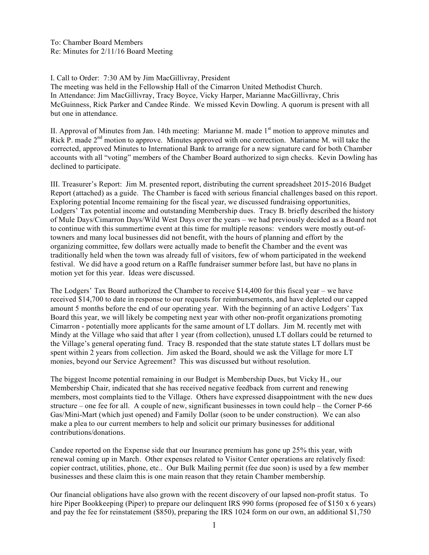To: Chamber Board Members Re: Minutes for 2/11/16 Board Meeting

I. Call to Order: 7:30 AM by Jim MacGillivray, President

The meeting was held in the Fellowship Hall of the Cimarron United Methodist Church. In Attendance: Jim MacGillivray, Tracy Boyce, Vicky Harper, Marianne MacGillivray, Chris McGuinness, Rick Parker and Candee Rinde. We missed Kevin Dowling. A quorum is present with all but one in attendance.

II. Approval of Minutes from Jan. 14th meeting: Marianne M. made  $1<sup>st</sup>$  motion to approve minutes and Rick P. made 2<sup>nd</sup> motion to approve. Minutes approved with one correction. Marianne M. will take the corrected, approved Minutes to International Bank to arrange for a new signature card for both Chamber accounts with all "voting" members of the Chamber Board authorized to sign checks. Kevin Dowling has declined to participate.

III. Treasurer's Report: Jim M. presented report, distributing the current spreadsheet 2015-2016 Budget Report (attached) as a guide. The Chamber is faced with serious financial challenges based on this report. Exploring potential Income remaining for the fiscal year, we discussed fundraising opportunities, Lodgers' Tax potential income and outstanding Membership dues. Tracy B. briefly described the history of Mule Days/Cimarron Days/Wild West Days over the years – we had previously decided as a Board not to continue with this summertime event at this time for multiple reasons: vendors were mostly out-oftowners and many local businesses did not benefit, with the hours of planning and effort by the organizing committee, few dollars were actually made to benefit the Chamber and the event was traditionally held when the town was already full of visitors, few of whom participated in the weekend festival. We did have a good return on a Raffle fundraiser summer before last, but have no plans in motion yet for this year. Ideas were discussed.

The Lodgers' Tax Board authorized the Chamber to receive \$14,400 for this fiscal year – we have received \$14,700 to date in response to our requests for reimbursements, and have depleted our capped amount 5 months before the end of our operating year. With the beginning of an active Lodgers' Tax Board this year, we will likely be competing next year with other non-profit organizations promoting Cimarron - potentially more applicants for the same amount of LT dollars. Jim M. recently met with Mindy at the Village who said that after 1 year (from collection), unused LT dollars could be returned to the Village's general operating fund. Tracy B. responded that the state statute states LT dollars must be spent within 2 years from collection. Jim asked the Board, should we ask the Village for more LT monies, beyond our Service Agreement? This was discussed but without resolution.

The biggest Income potential remaining in our Budget is Membership Dues, but Vicky H., our Membership Chair, indicated that she has received negative feedback from current and renewing members, most complaints tied to the Village. Others have expressed disappointment with the new dues structure – one fee for all. A couple of new, significant businesses in town could help – the Corner P-66 Gas/Mini-Mart (which just opened) and Family Dollar (soon to be under construction). We can also make a plea to our current members to help and solicit our primary businesses for additional contributions/donations.

Candee reported on the Expense side that our Insurance premium has gone up 25% this year, with renewal coming up in March. Other expenses related to Visitor Center operations are relatively fixed: copier contract, utilities, phone, etc.. Our Bulk Mailing permit (fee due soon) is used by a few member businesses and these claim this is one main reason that they retain Chamber membership.

Our financial obligations have also grown with the recent discovery of our lapsed non-profit status. To hire Piper Bookkeeping (Piper) to prepare our delinquent IRS 990 forms (proposed fee of \$150 x 6 years) and pay the fee for reinstatement (\$850), preparing the IRS 1024 form on our own, an additional \$1,750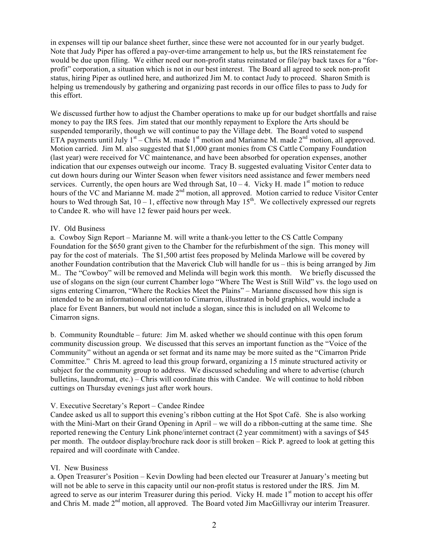in expenses will tip our balance sheet further, since these were not accounted for in our yearly budget. Note that Judy Piper has offered a pay-over-time arrangement to help us, but the IRS reinstatement fee would be due upon filing. We either need our non-profit status reinstated or file/pay back taxes for a "forprofit" corporation, a situation which is not in our best interest. The Board all agreed to seek non-profit status, hiring Piper as outlined here, and authorized Jim M. to contact Judy to proceed. Sharon Smith is helping us tremendously by gathering and organizing past records in our office files to pass to Judy for this effort.

We discussed further how to adjust the Chamber operations to make up for our budget shortfalls and raise money to pay the IRS fees. Jim stated that our monthly repayment to Explore the Arts should be suspended temporarily, though we will continue to pay the Village debt. The Board voted to suspend ETA payments until July  $1<sup>st</sup>$  – Chris M. made  $1<sup>st</sup>$  motion and Marianne M. made  $2<sup>nd</sup>$  motion, all approved. Motion carried. Jim M. also suggested that \$1,000 grant monies from CS Cattle Company Foundation (last year) were received for VC maintenance, and have been absorbed for operation expenses, another indication that our expenses outweigh our income. Tracy B. suggested evaluating Visitor Center data to cut down hours during our Winter Season when fewer visitors need assistance and fewer members need services. Currently, the open hours are Wed through Sat,  $10 - 4$ . Vicky H. made 1<sup>st</sup> motion to reduce hours of the VC and Marianne M. made 2<sup>nd</sup> motion, all approved. Motion carried to reduce Visitor Center hours to Wed through Sat,  $10 - 1$ , effective now through May  $15<sup>th</sup>$ . We collectively expressed our regrets to Candee R. who will have 12 fewer paid hours per week.

#### IV. Old Business

a. Cowboy Sign Report – Marianne M. will write a thank-you letter to the CS Cattle Company Foundation for the \$650 grant given to the Chamber for the refurbishment of the sign. This money will pay for the cost of materials. The \$1,500 artist fees proposed by Melinda Marlowe will be covered by another Foundation contribution that the Maverick Club will handle for us – this is being arranged by Jim M.. The "Cowboy" will be removed and Melinda will begin work this month. We briefly discussed the use of slogans on the sign (our current Chamber logo "Where The West is Still Wild" vs. the logo used on signs entering Cimarron, "Where the Rockies Meet the Plains" – Marianne discussed how this sign is intended to be an informational orientation to Cimarron, illustrated in bold graphics, would include a place for Event Banners, but would not include a slogan, since this is included on all Welcome to Cimarron signs.

b. Community Roundtable – future: Jim M. asked whether we should continue with this open forum community discussion group. We discussed that this serves an important function as the "Voice of the Community" without an agenda or set format and its name may be more suited as the "Cimarron Pride Committee." Chris M. agreed to lead this group forward, organizing a 15 minute structured activity or subject for the community group to address. We discussed scheduling and where to advertise (church bulletins, laundromat, etc.) – Chris will coordinate this with Candee. We will continue to hold ribbon cuttings on Thursday evenings just after work hours.

### V. Executive Secretary's Report – Candee Rindee

Candee asked us all to support this evening's ribbon cutting at the Hot Spot Café. She is also working with the Mini-Mart on their Grand Opening in April – we will do a ribbon-cutting at the same time. She reported renewing the Century Link phone/internet contract (2 year commitment) with a savings of \$45 per month. The outdoor display/brochure rack door is still broken – Rick P. agreed to look at getting this repaired and will coordinate with Candee.

### VI. New Business

a. Open Treasurer's Position – Kevin Dowling had been elected our Treasurer at January's meeting but will not be able to serve in this capacity until our non-profit status is restored under the IRS. Jim M. agreed to serve as our interim Treasurer during this period. Vicky H. made 1<sup>st</sup> motion to accept his offer and Chris M. made 2<sup>nd</sup> motion, all approved. The Board voted Jim MacGillivray our interim Treasurer.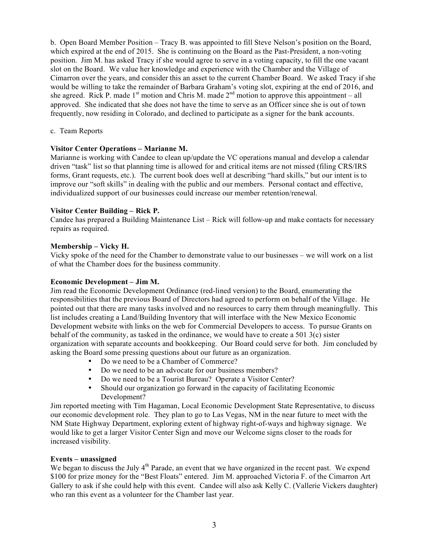b. Open Board Member Position – Tracy B. was appointed to fill Steve Nelson's position on the Board, which expired at the end of 2015. She is continuing on the Board as the Past-President, a non-voting position. Jim M. has asked Tracy if she would agree to serve in a voting capacity, to fill the one vacant slot on the Board. We value her knowledge and experience with the Chamber and the Village of Cimarron over the years, and consider this an asset to the current Chamber Board. We asked Tracy if she would be willing to take the remainder of Barbara Graham's voting slot, expiring at the end of 2016, and she agreed. Rick P. made  $1<sup>st</sup>$  motion and Chris M. made  $2<sup>nd</sup>$  motion to approve this appointment – all approved. She indicated that she does not have the time to serve as an Officer since she is out of town frequently, now residing in Colorado, and declined to participate as a signer for the bank accounts.

### c. Team Reports

# **Visitor Center Operations – Marianne M.**

Marianne is working with Candee to clean up/update the VC operations manual and develop a calendar driven "task" list so that planning time is allowed for and critical items are not missed (filing CRS/IRS forms, Grant requests, etc.). The current book does well at describing "hard skills," but our intent is to improve our "soft skills" in dealing with the public and our members. Personal contact and effective, individualized support of our businesses could increase our member retention/renewal.

# **Visitor Center Building – Rick P.**

Candee has prepared a Building Maintenance List – Rick will follow-up and make contacts for necessary repairs as required.

### **Membership – Vicky H.**

Vicky spoke of the need for the Chamber to demonstrate value to our businesses – we will work on a list of what the Chamber does for the business community.

### **Economic Development – Jim M.**

Jim read the Economic Development Ordinance (red-lined version) to the Board, enumerating the responsibilities that the previous Board of Directors had agreed to perform on behalf of the Village. He pointed out that there are many tasks involved and no resources to carry them through meaningfully. This list includes creating a Land/Building Inventory that will interface with the New Mexico Economic Development website with links on the web for Commercial Developers to access. To pursue Grants on behalf of the community, as tasked in the ordinance, we would have to create a 501 3(c) sister organization with separate accounts and bookkeeping. Our Board could serve for both. Jim concluded by asking the Board some pressing questions about our future as an organization.

- Do we need to be a Chamber of Commerce?
- Do we need to be an advocate for our business members?
- Do we need to be a Tourist Bureau? Operate a Visitor Center?<br>• Should our organization go forward in the canacity of facilitation
- Should our organization go forward in the capacity of facilitating Economic Development?

Jim reported meeting with Tim Hagaman, Local Economic Development State Representative, to discuss our economic development role. They plan to go to Las Vegas, NM in the near future to meet with the NM State Highway Department, exploring extent of highway right-of-ways and highway signage. We would like to get a larger Visitor Center Sign and move our Welcome signs closer to the roads for increased visibility.

### **Events – unassigned**

We began to discuss the July 4<sup>th</sup> Parade, an event that we have organized in the recent past. We expend \$100 for prize money for the "Best Floats" entered. Jim M. approached Victoria F. of the Cimarron Art Gallery to ask if she could help with this event. Candee will also ask Kelly C. (Vallerie Vickers daughter) who ran this event as a volunteer for the Chamber last year.